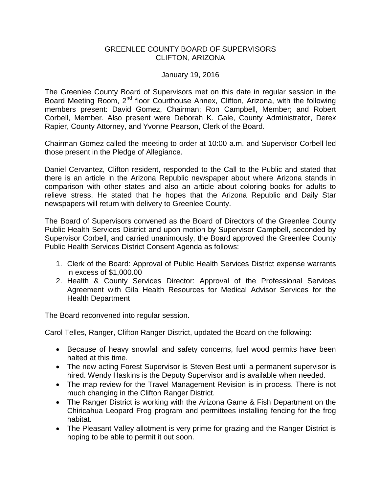## GREENLEE COUNTY BOARD OF SUPERVISORS CLIFTON, ARIZONA

## January 19, 2016

The Greenlee County Board of Supervisors met on this date in regular session in the Board Meeting Room, 2<sup>nd</sup> floor Courthouse Annex, Clifton, Arizona, with the following members present: David Gomez, Chairman; Ron Campbell, Member; and Robert Corbell, Member. Also present were Deborah K. Gale, County Administrator, Derek Rapier, County Attorney, and Yvonne Pearson, Clerk of the Board.

Chairman Gomez called the meeting to order at 10:00 a.m. and Supervisor Corbell led those present in the Pledge of Allegiance.

Daniel Cervantez, Clifton resident, responded to the Call to the Public and stated that there is an article in the Arizona Republic newspaper about where Arizona stands in comparison with other states and also an article about coloring books for adults to relieve stress. He stated that he hopes that the Arizona Republic and Daily Star newspapers will return with delivery to Greenlee County.

The Board of Supervisors convened as the Board of Directors of the Greenlee County Public Health Services District and upon motion by Supervisor Campbell, seconded by Supervisor Corbell, and carried unanimously, the Board approved the Greenlee County Public Health Services District Consent Agenda as follows:

- 1. Clerk of the Board: Approval of Public Health Services District expense warrants in excess of \$1,000.00
- 2. Health & County Services Director: Approval of the Professional Services Agreement with Gila Health Resources for Medical Advisor Services for the Health Department

The Board reconvened into regular session.

Carol Telles, Ranger, Clifton Ranger District, updated the Board on the following:

- Because of heavy snowfall and safety concerns, fuel wood permits have been halted at this time.
- The new acting Forest Supervisor is Steven Best until a permanent supervisor is hired. Wendy Haskins is the Deputy Supervisor and is available when needed.
- The map review for the Travel Management Revision is in process. There is not much changing in the Clifton Ranger District.
- The Ranger District is working with the Arizona Game & Fish Department on the Chiricahua Leopard Frog program and permittees installing fencing for the frog habitat.
- The Pleasant Valley allotment is very prime for grazing and the Ranger District is hoping to be able to permit it out soon.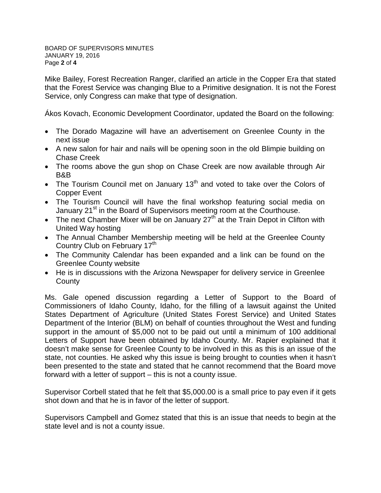BOARD OF SUPERVISORS MINUTES JANUARY 19, 2016 Page **2** of **4**

Mike Bailey, Forest Recreation Ranger, clarified an article in the Copper Era that stated that the Forest Service was changing Blue to a Primitive designation. It is not the Forest Service, only Congress can make that type of designation.

Ákos Kovach, Economic Development Coordinator, updated the Board on the following:

- The Dorado Magazine will have an advertisement on Greenlee County in the next issue
- A new salon for hair and nails will be opening soon in the old Blimpie building on Chase Creek
- The rooms above the gun shop on Chase Creek are now available through Air B&B
- The Tourism Council met on January  $13<sup>th</sup>$  and voted to take over the Colors of Copper Event
- The Tourism Council will have the final workshop featuring social media on January 21<sup>st</sup> in the Board of Supervisors meeting room at the Courthouse.
- The next Chamber Mixer will be on January 27<sup>th</sup> at the Train Depot in Clifton with United Way hosting
- The Annual Chamber Membership meeting will be held at the Greenlee County Country Club on February 17<sup>th</sup>
- The Community Calendar has been expanded and a link can be found on the Greenlee County website
- He is in discussions with the Arizona Newspaper for delivery service in Greenlee **County**

Ms. Gale opened discussion regarding a Letter of Support to the Board of Commissioners of Idaho County, Idaho, for the filling of a lawsuit against the United States Department of Agriculture (United States Forest Service) and United States Department of the Interior (BLM) on behalf of counties throughout the West and funding support in the amount of \$5,000 not to be paid out until a minimum of 100 additional Letters of Support have been obtained by Idaho County. Mr. Rapier explained that it doesn't make sense for Greenlee County to be involved in this as this is an issue of the state, not counties. He asked why this issue is being brought to counties when it hasn't been presented to the state and stated that he cannot recommend that the Board move forward with a letter of support – this is not a county issue.

Supervisor Corbell stated that he felt that \$5,000.00 is a small price to pay even if it gets shot down and that he is in favor of the letter of support.

Supervisors Campbell and Gomez stated that this is an issue that needs to begin at the state level and is not a county issue.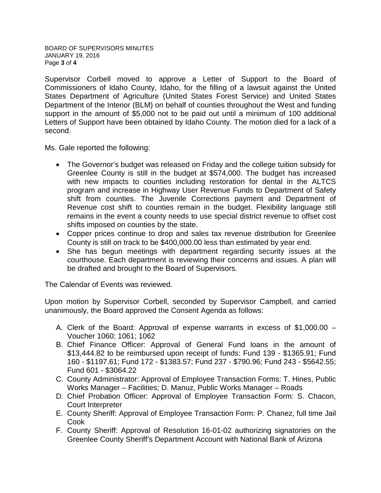BOARD OF SUPERVISORS MINUTES JANUARY 19, 2016 Page **3** of **4**

Supervisor Corbell moved to approve a Letter of Support to the Board of Commissioners of Idaho County, Idaho, for the filling of a lawsuit against the United States Department of Agriculture (United States Forest Service) and United States Department of the Interior (BLM) on behalf of counties throughout the West and funding support in the amount of \$5,000 not to be paid out until a minimum of 100 additional Letters of Support have been obtained by Idaho County. The motion died for a lack of a second.

Ms. Gale reported the following:

- The Governor's budget was released on Friday and the college tuition subsidy for Greenlee County is still in the budget at \$574,000. The budget has increased with new impacts to counties including restoration for dental in the ALTCS program and increase in Highway User Revenue Funds to Department of Safety shift from counties. The Juvenile Corrections payment and Department of Revenue cost shift to counties remain in the budget. Flexibility language still remains in the event a county needs to use special district revenue to offset cost shifts imposed on counties by the state.
- Copper prices continue to drop and sales tax revenue distribution for Greenlee County is still on track to be \$400,000.00 less than estimated by year end.
- She has begun meetings with department regarding security issues at the courthouse. Each department is reviewing their concerns and issues. A plan will be drafted and brought to the Board of Supervisors.

The Calendar of Events was reviewed.

Upon motion by Supervisor Corbell, seconded by Supervisor Campbell, and carried unanimously, the Board approved the Consent Agenda as follows:

- A. Clerk of the Board: Approval of expense warrants in excess of \$1,000.00 Voucher 1060; 1061; 1062
- B. Chief Finance Officer: Approval of General Fund loans in the amount of \$13,444.82 to be reimbursed upon receipt of funds: Fund 139 - \$1365.91; Fund 160 - \$1197.61; Fund 172 - \$1383.57; Fund 237 - \$790.96; Fund 243 - \$5642.55; Fund 601 - \$3064.22
- C. County Administrator: Approval of Employee Transaction Forms: T. Hines, Public Works Manager – Facilities; D. Manuz, Public Works Manager – Roads
- D. Chief Probation Officer: Approval of Employee Transaction Form: S. Chacon, Court Interpreter
- E. County Sheriff: Approval of Employee Transaction Form: P. Chanez, full time Jail Cook
- F. County Sheriff: Approval of Resolution 16-01-02 authorizing signatories on the Greenlee County Sheriff's Department Account with National Bank of Arizona